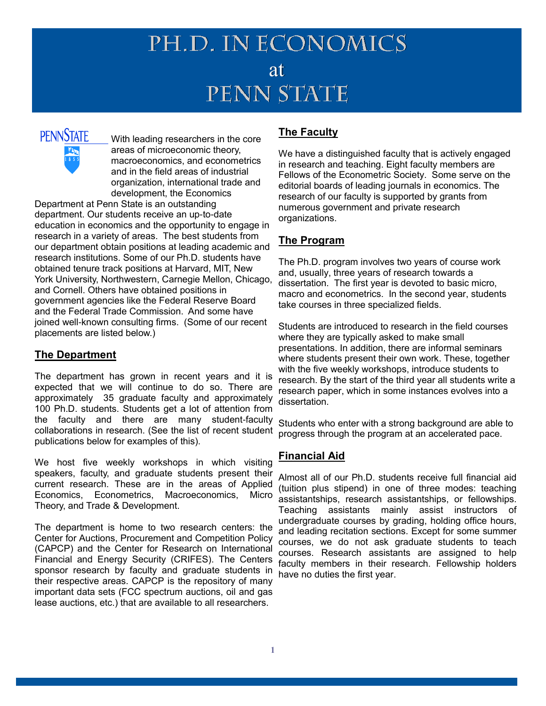## PH.D. IN ECONOMICS at<br>PENN STATE

# **PENNSTATE**

With leading researchers in the core areas of microeconomic theory, macroeconomics, and econometrics and in the field areas of industrial organization, international trade and development, the Economics

Department at Penn State is an outstanding department. Our students receive an up-to-date education in economics and the opportunity to engage in research in a variety of areas. The best students from our department obtain positions at leading academic and research institutions. Some of our Ph.D. students have obtained tenure track positions at Harvard, MIT, New York University, Northwestern, Carnegie Mellon, Chicago, and Cornell. Others have obtained positions in government agencies like the Federal Reserve Board and the Federal Trade Commission. And some have joined well-known consulting firms. (Some of our recent placements are listed below.)

#### **The Department**

The department has grown in recent years and it is expected that we will continue to do so. There are approximately 35 graduate faculty and approximately 100 Ph.D. students. Students get a lot of attention from the faculty and there are many student-faculty collaborations in research. (See the list of recent student publications below for examples of this).

We host five weekly workshops in which visiting speakers, faculty, and graduate students present their current research. These are in the areas of Applied Economics, Econometrics, Macroeconomics, Micro Theory, and Trade & Development.

The department is home to two research centers: the Center for Auctions, Procurement and Competition Policy (CAPCP) and the Center for Research on International Financial and Energy Security (CRIFES). The Centers sponsor research by faculty and graduate students in their respective areas. CAPCP is the repository of many important data sets (FCC spectrum auctions, oil and gas lease auctions, etc.) that are available to all researchers.

#### **The Faculty**

We have a distinguished faculty that is actively engaged in research and teaching. Eight faculty members are Fellows of the Econometric Society. Some serve on the editorial boards of leading journals in economics. The research of our faculty is supported by grants from numerous government and private research organizations.

#### **The Program**

The Ph.D. program involves two years of course work and, usually, three years of research towards a dissertation. The first year is devoted to basic micro, macro and econometrics. In the second year, students take courses in three specialized fields.

Students are introduced to research in the field courses where they are typically asked to make small presentations. In addition, there are informal seminars where students present their own work. These, together with the five weekly workshops, introduce students to research. By the start of the third year all students write a research paper, which in some instances evolves into a dissertation.

Students who enter with a strong background are able to progress through the program at an accelerated pace.

#### **Financial Aid**

Almost all of our Ph.D. students receive full financial aid (tuition plus stipend) in one of three modes: teaching assistantships, research assistantships, or fellowships. Teaching assistants mainly assist instructors of undergraduate courses by grading, holding office hours, and leading recitation sections. Except for some summer courses, we do not ask graduate students to teach courses. Research assistants are assigned to help faculty members in their research. Fellowship holders have no duties the first year.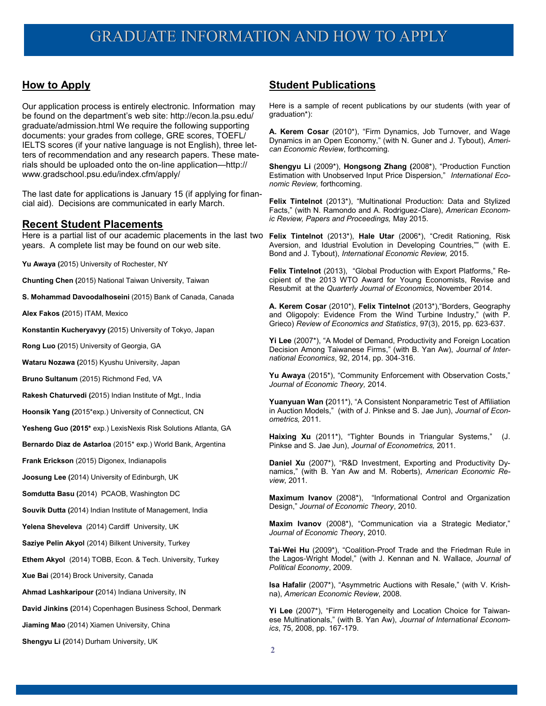#### **How to Apply**

Our application process is entirely electronic. Information may be found on the department's web site: http://econ.la.psu.edu/ graduate/admission.html We require the following supporting documents: your grades from college, GRE scores, TOEFL/ IELTS scores (if your native language is not English), three letters of recommendation and any research papers. These materials should be uploaded onto the on-line application—http:// www.gradschool.psu.edu/index.cfm/apply/

The last date for applications is January 15 (if applying for financial aid). Decisions are communicated in early March.

#### **Recent Student Placements**

Here is a partial list of our academic placements in the last two **Felix Tintelnot** (2013\*), **Hale Utar** (2006\*), "Credit Rationing, Risk years. A complete list may be found on our web site.

**Yu Awaya (**2015) University of Rochester, NY

**Chunting Chen (**2015) National Taiwan University, Taiwan

**S. Mohammad Davoodalhoseini** (2015) Bank of Canada, Canada

**Alex Fakos (**2015) ITAM, Mexico

**Konstantin Kucheryavyy (**2015) University of Tokyo, Japan

**Rong Luo (**2015) University of Georgia, GA

**Wataru Nozawa (**2015) Kyushu University, Japan

**Bruno Sultanum** (2015) Richmond Fed, VA

**Rakesh Chaturvedi (**2015) Indian Institute of Mgt., India

**Hoonsik Yang (**2015\*exp.) University of Connecticut, CN

**Yesheng Guo (2015\*** exp.) LexisNexis Risk Solutions Atlanta, GA

**Bernardo Diaz de Astarloa** (2015\* exp.) World Bank, Argentina

**Frank Erickson** (2015) Digonex, Indianapolis

**Joosung Lee (**2014) University of Edinburgh, UK

**Somdutta Basu (**2014) PCAOB, Washington DC

**Souvik Dutta (**2014) Indian Institute of Management, India

**Yelena Sheveleva** (2014) Cardiff University, UK

**Saziye Pelin Akyol** (2014) Bilkent University, Turkey

**Ethem Akyol** (2014) TOBB, Econ. & Tech. University, Turkey

**Xue Bai** (2014) Brock University, Canada

**Ahmad Lashkaripour (**2014) Indiana University, IN

**David Jinkins (**2014) Copenhagen Business School, Denmark

**Jiaming Mao** (2014) Xiamen University, China

**Shengyu Li (**2014) Durham University, UK

#### **Student Publications**

Here is a sample of recent publications by our students (with year of graduation\*):

**A. Kerem Cosar** (2010\*), "Firm Dynamics, Job Turnover, and Wage Dynamics in an Open Economy," (with N. Guner and J. Tybout), *American Economic Review*, forthcoming.

**Shengyu Li** (2009\*), **Hongsong Zhang (**2008\*), "Production Function Estimation with Unobserved Input Price Dispersion," *International Economic Review,* forthcoming.

**Felix Tintelnot** (2013\*), "Multinational Production: Data and Stylized Facts," (with N. Ramondo and A. Rodriguez-Clare), *American Economic Review, Papers and Proceedings,* May 2015.

Aversion, and Idustrial Evolution in Developing Countries,"" (with E. Bond and J. Tybout), *International Economic Review,* 2015.

**Felix Tintelnot** (2013), "Global Production with Export Platforms," Recipient of the 2013 WTO Award for Young Economists, Revise and Resubmit at the *Quarterly Journal of Economics,* November 2014.

**A. Kerem Cosar** (2010\*), **Felix Tintelnot** (2013\*),"Borders, Geography and Oligopoly: Evidence From the Wind Turbine Industry," (with P. Grieco) *Review of Economics and Statistics*, 97(3), 2015, pp. 623-637.

**Yi Lee** (2007\*), "A Model of Demand, Productivity and Foreign Location Decision Among Taiwanese Firms," (with B. Yan Aw), *Journal of International Economics*, 92, 2014, pp. 304-316.

**Yu Awaya** (2015\*), "Community Enforcement with Observation Costs," *Journal of Economic Theory,* 2014.

**Yuanyuan Wan (**2011\*), "A Consistent Nonparametric Test of Affiliation in Auction Models," (with of J. Pinkse and S. Jae Jun), *Journal of Econometrics,* 2011.

**Haixing Xu** (2011\*), "Tighter Bounds in Triangular Systems," (J. Pinkse and S. Jae Jun), *Journal of Econometrics,* 2011.

**Daniel Xu** (2007\*), "R&D Investment, Exporting and Productivity Dynamics," (with B. Yan Aw and M. Roberts), *American Economic Review*, 2011.

**Maximum Ivanov** (2008\*), "Informational Control and Organization Design," *Journal of Economic Theory*, 2010.

**Maxim Ivanov** (2008\*), "Communication via a Strategic Mediator," *Journal of Economic Theor*y, 2010.

**Tai-Wei Hu** (2009\*), "Coalition-Proof Trade and the Friedman Rule in the Lagos-Wright Model," (with J. Kennan and N. Wallace, *Journal of Political Economy*, 2009.

**Isa Hafalir** (2007\*), "Asymmetric Auctions with Resale," (with V. Krishna), *American Economic Review*, 2008.

**Yi Lee** (2007\*), "Firm Heterogeneity and Location Choice for Taiwanese Multinationals," (with B. Yan Aw), *Journal of International Economics*, 75, 2008, pp. 167-179.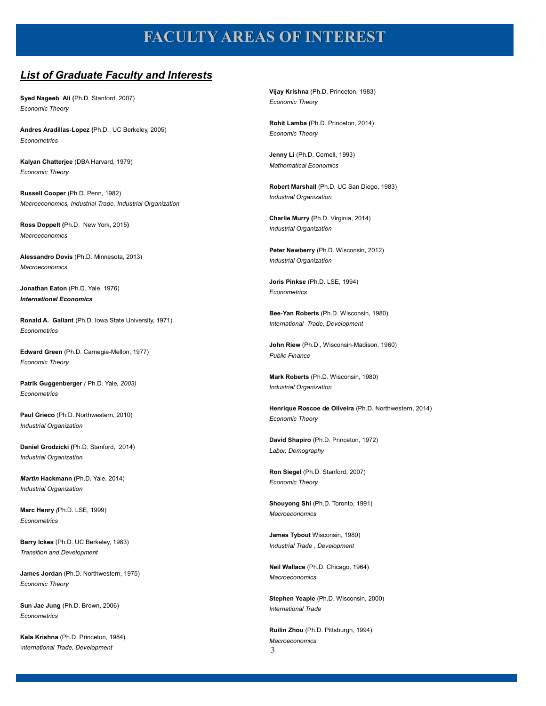### **FACULTY AREAS OF INTEREST**

#### *List of Graduate Faculty and Interests*

**Syed Nageeb Ali (**Ph.D. Stanford, 2007) *Economic Theory*

**Andres Aradillas-Lopez (**Ph.D. UC Berkeley, 2005) *Econometrics*

**Kalyan Chatterjee** (DBA Harvard, 1979) *Economic Theory*

**Russell Cooper** (Ph.D. Penn, 1982) *Macroeconomics, Industrial Trade, Industrial Organization*

**Ross Doppelt (**Ph.D. New York, 2015**)** *Macroeconomics*

**Alessandro Dovis** (Ph.D. Minnesota, 2013) *Macroeconomics*

**Jonathan Eaton** (Ph.D. Yale, 1976) *International Economics*

**Ronald A. Gallant** (Ph.D. Iowa State University, 1971) *Econometrics*

**Edward Green** (Ph.D. Carnegie-Mellon, 1977) *Economic Theory*

**Patrik Guggenberger** *(* Ph.D. Yale*, 2003) Econometrics*

**Paul Grieco** (Ph.D. Northwestern, 2010) *Industrial Organization*

**Daniel Grodzicki (**Ph.D. Stanford, 2014) *Industrial Organization*

*Martin* **Hackmann (**Ph.D. Yale, 2014) *Industrial Organization*

**Marc Henry** *(*Ph.D. LSE, 1999) *Econometrics*

**Barry Ickes** (Ph.D. UC Berkeley, 1983) *Transition and Development*

**James Jordan** (Ph.D. Northwestern, 1975) *Economic Theory*

**Sun Jae Jung** (Ph.D. Brown, 2006) *Econometrics*

**Kala Krishna** (Ph.D. Princeton, 1984) I*nternational Trade, Development*

**Vijay Krishna** (Ph.D. Princeton, 1983) *Economic Theory*

**Rohit Lamba (**Ph.D. Princeton, 2014) *Economic Theory*

**Jenny Li** (Ph.D. Cornell, 1993) *Mathematical Economics*

**Robert Marshall** (Ph.D. UC San Diego, 1983) *Industrial Organization*

**Charlie Murry (**Ph.D. Virginia, 2014) *Industrial Organization*

**Peter Newberry** (Ph.D. Wisconsin, 2012) *Industrial Organization*

**Joris Pinkse** (Ph.D. LSE, 1994) *Econometrics*

**Bee-Yan Roberts** (Ph.D. Wisconsin, 1980) *International Trade, Development*

**John Riew** (Ph.D., Wisconsin-Madison, 1960) *Public Finance*

**Mark Roberts** (Ph.D. Wisconsin, 1980) *Industrial Organization*

**Henrique Roscoe de Oliveira** (Ph.D. Northwestern, 2014) *Economic Theory*

**David Shapiro** (Ph.D. Princeton, 1972) *Labor, Demography*

**Ron Siegel** (Ph.D. Stanford, 2007) *Economic Theory*

**Shouyong Shi** (Ph.D. Toronto, 1991) *Macroeconomics*

**James Tybout** Wisconsin, 1980) *Industrial Trade , Development*

**Neil Wallace** (Ph.D. Chicago, 1964) *Macroeconomics*

**Stephen Yeaple** (Ph.D. Wisconsin, 2000) *International Trade*

**3 Ruilin Zhou** (Ph.D. Pittsburgh, 1994) *Macroeconomics*